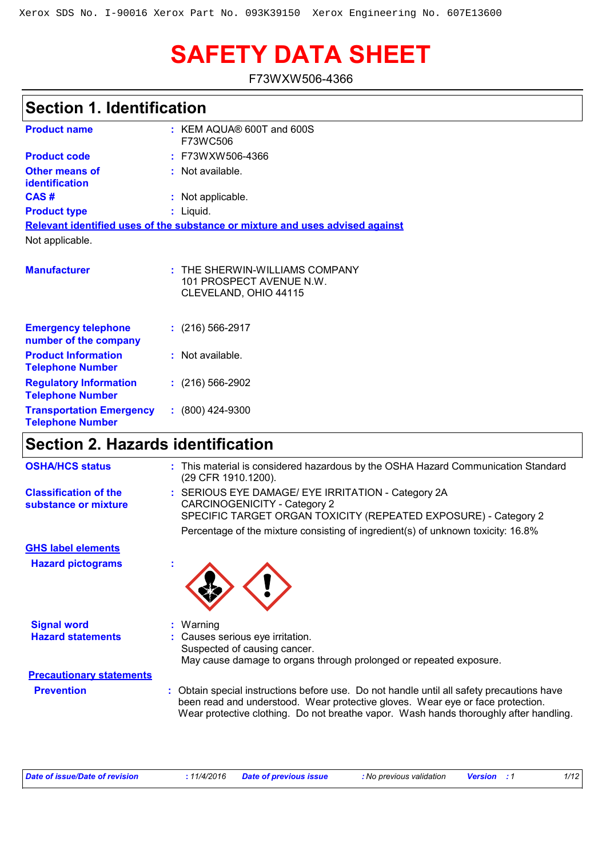# **SAFETY DATA SHEET**

F73WXW506-4366

| <b>Section 1. Identification</b>                           |                                                                                       |  |  |  |  |
|------------------------------------------------------------|---------------------------------------------------------------------------------------|--|--|--|--|
| <b>Product name</b>                                        | $:$ KEM AQUA® 600T and 600S<br>F73WC506                                               |  |  |  |  |
| <b>Product code</b>                                        | F73WXW506-4366                                                                        |  |  |  |  |
| <b>Other means of</b><br>identification                    | : Not available.                                                                      |  |  |  |  |
| CAS#                                                       | : Not applicable.                                                                     |  |  |  |  |
| <b>Product type</b>                                        | $:$ Liquid.                                                                           |  |  |  |  |
|                                                            | Relevant identified uses of the substance or mixture and uses advised against         |  |  |  |  |
| Not applicable.                                            |                                                                                       |  |  |  |  |
|                                                            |                                                                                       |  |  |  |  |
| <b>Manufacturer</b>                                        | $:$ THE SHERWIN-WILLIAMS COMPANY<br>101 PROSPECT AVENUE N.W.<br>CLEVELAND, OHIO 44115 |  |  |  |  |
| <b>Emergency telephone</b><br>number of the company        | $: (216) 566 - 2917$                                                                  |  |  |  |  |
| <b>Product Information</b><br><b>Telephone Number</b>      | $:$ Not available.                                                                    |  |  |  |  |
| <b>Regulatory Information</b><br><b>Telephone Number</b>   | $: (216) 566-2902$                                                                    |  |  |  |  |
| <b>Transportation Emergency</b><br><b>Telephone Number</b> | $: (800)$ 424-9300                                                                    |  |  |  |  |
| <b>Section 2. Hazards identification</b>                   |                                                                                       |  |  |  |  |

| <b>OSHA/HCS status</b>                               | : This material is considered hazardous by the OSHA Hazard Communication Standard<br>(29 CFR 1910.1200).                                                                                                                                                             |  |  |  |
|------------------------------------------------------|----------------------------------------------------------------------------------------------------------------------------------------------------------------------------------------------------------------------------------------------------------------------|--|--|--|
| <b>Classification of the</b><br>substance or mixture | : SERIOUS EYE DAMAGE/ EYE IRRITATION - Category 2A<br>CARCINOGENICITY - Category 2<br>SPECIFIC TARGET ORGAN TOXICITY (REPEATED EXPOSURE) - Category 2<br>Percentage of the mixture consisting of ingredient(s) of unknown toxicity: 16.8%                            |  |  |  |
| <b>GHS label elements</b>                            |                                                                                                                                                                                                                                                                      |  |  |  |
| <b>Hazard pictograms</b>                             |                                                                                                                                                                                                                                                                      |  |  |  |
| <b>Signal word</b>                                   | $:$ Warning                                                                                                                                                                                                                                                          |  |  |  |
| <b>Hazard statements</b>                             | : Causes serious eye irritation.<br>Suspected of causing cancer.<br>May cause damage to organs through prolonged or repeated exposure.                                                                                                                               |  |  |  |
| <b>Precautionary statements</b>                      |                                                                                                                                                                                                                                                                      |  |  |  |
| <b>Prevention</b>                                    | : Obtain special instructions before use. Do not handle until all safety precautions have<br>been read and understood. Wear protective gloves. Wear eye or face protection.<br>Wear protective clothing. Do not breathe vapor. Wash hands thoroughly after handling. |  |  |  |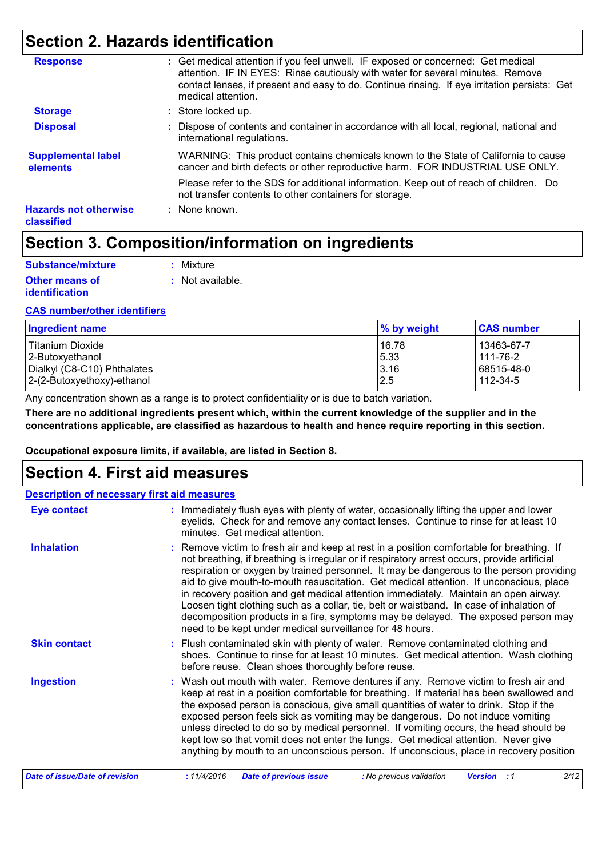# **Section 2. Hazards identification**

| <b>Response</b>                            | : Get medical attention if you feel unwell. IF exposed or concerned: Get medical<br>attention. IF IN EYES: Rinse cautiously with water for several minutes. Remove  |
|--------------------------------------------|---------------------------------------------------------------------------------------------------------------------------------------------------------------------|
|                                            | contact lenses, if present and easy to do. Continue rinsing. If eye irritation persists: Get<br>medical attention.                                                  |
| <b>Storage</b>                             | : Store locked up.                                                                                                                                                  |
| <b>Disposal</b>                            | : Dispose of contents and container in accordance with all local, regional, national and<br>international regulations.                                              |
| <b>Supplemental label</b><br>elements      | WARNING: This product contains chemicals known to the State of California to cause<br>cancer and birth defects or other reproductive harm. FOR INDUSTRIAL USE ONLY. |
|                                            | Please refer to the SDS for additional information. Keep out of reach of children. Do<br>not transfer contents to other containers for storage.                     |
| <b>Hazards not otherwise</b><br>classified | : None known.                                                                                                                                                       |

# **Section 3. Composition/information on ingredients**

| Substance/mixture     | : Mixture        |
|-----------------------|------------------|
| <b>Other means of</b> | : Not available. |
| <i>identification</i> |                  |

#### **CAS number/other identifiers**

| <b>Ingredient name</b>      | % by weight | <b>CAS number</b> |
|-----------------------------|-------------|-------------------|
| <b>Titanium Dioxide</b>     | 16.78       | 13463-67-7        |
| 2-Butoxyethanol             | 5.33        | 111-76-2          |
| Dialkyl (C8-C10) Phthalates | 3.16        | 68515-48-0        |
| 2-(2-Butoxyethoxy)-ethanol  | 2.5         | 112-34-5          |

Any concentration shown as a range is to protect confidentiality or is due to batch variation.

**There are no additional ingredients present which, within the current knowledge of the supplier and in the concentrations applicable, are classified as hazardous to health and hence require reporting in this section.**

**Occupational exposure limits, if available, are listed in Section 8.**

### **Section 4. First aid measures**

| <b>Description of necessary first aid measures</b> |                                                                                                                                                                                                                                                                                                                                                                                                                                                                                                                                                                                                                                                                                                                     |  |  |  |
|----------------------------------------------------|---------------------------------------------------------------------------------------------------------------------------------------------------------------------------------------------------------------------------------------------------------------------------------------------------------------------------------------------------------------------------------------------------------------------------------------------------------------------------------------------------------------------------------------------------------------------------------------------------------------------------------------------------------------------------------------------------------------------|--|--|--|
| <b>Eye contact</b>                                 | : Immediately flush eyes with plenty of water, occasionally lifting the upper and lower<br>eyelids. Check for and remove any contact lenses. Continue to rinse for at least 10<br>minutes. Get medical attention.                                                                                                                                                                                                                                                                                                                                                                                                                                                                                                   |  |  |  |
| <b>Inhalation</b>                                  | : Remove victim to fresh air and keep at rest in a position comfortable for breathing. If<br>not breathing, if breathing is irregular or if respiratory arrest occurs, provide artificial<br>respiration or oxygen by trained personnel. It may be dangerous to the person providing<br>aid to give mouth-to-mouth resuscitation. Get medical attention. If unconscious, place<br>in recovery position and get medical attention immediately. Maintain an open airway.<br>Loosen tight clothing such as a collar, tie, belt or waistband. In case of inhalation of<br>decomposition products in a fire, symptoms may be delayed. The exposed person may<br>need to be kept under medical surveillance for 48 hours. |  |  |  |
| <b>Skin contact</b>                                | : Flush contaminated skin with plenty of water. Remove contaminated clothing and<br>shoes. Continue to rinse for at least 10 minutes. Get medical attention. Wash clothing<br>before reuse. Clean shoes thoroughly before reuse.                                                                                                                                                                                                                                                                                                                                                                                                                                                                                    |  |  |  |
| <b>Ingestion</b>                                   | : Wash out mouth with water. Remove dentures if any. Remove victim to fresh air and<br>keep at rest in a position comfortable for breathing. If material has been swallowed and<br>the exposed person is conscious, give small quantities of water to drink. Stop if the<br>exposed person feels sick as vomiting may be dangerous. Do not induce vomiting<br>unless directed to do so by medical personnel. If vomiting occurs, the head should be<br>kept low so that vomit does not enter the lungs. Get medical attention. Never give<br>anything by mouth to an unconscious person. If unconscious, place in recovery position                                                                                 |  |  |  |
| Date of issue/Date of revision                     | 2/12<br>: 11/4/2016<br><b>Date of previous issue</b><br>: No previous validation<br><b>Version</b> : 1                                                                                                                                                                                                                                                                                                                                                                                                                                                                                                                                                                                                              |  |  |  |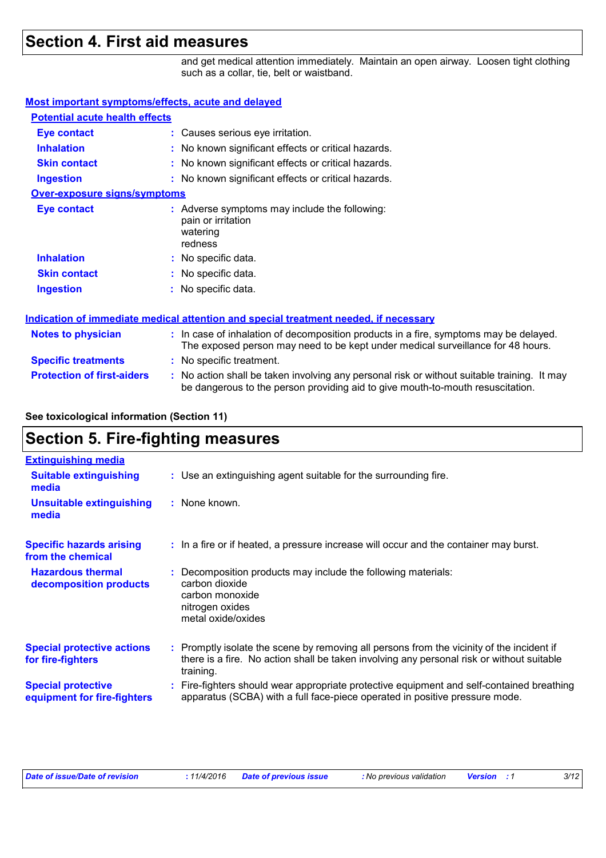### **Section 4. First aid measures**

and get medical attention immediately. Maintain an open airway. Loosen tight clothing such as a collar, tie, belt or waistband.

be dangerous to the person providing aid to give mouth-to-mouth resuscitation.

#### **Most important symptoms/effects, acute and delayed**

| <b>Potential acute health effects</b> |                                                                                                                                                                          |  |  |  |  |
|---------------------------------------|--------------------------------------------------------------------------------------------------------------------------------------------------------------------------|--|--|--|--|
| <b>Eye contact</b>                    | : Causes serious eye irritation.                                                                                                                                         |  |  |  |  |
| <b>Inhalation</b>                     | : No known significant effects or critical hazards.                                                                                                                      |  |  |  |  |
| <b>Skin contact</b>                   | : No known significant effects or critical hazards.                                                                                                                      |  |  |  |  |
| <b>Ingestion</b>                      | : No known significant effects or critical hazards.                                                                                                                      |  |  |  |  |
| <b>Over-exposure signs/symptoms</b>   |                                                                                                                                                                          |  |  |  |  |
| <b>Eye contact</b>                    | : Adverse symptoms may include the following:<br>pain or irritation<br>watering<br>redness                                                                               |  |  |  |  |
| <b>Inhalation</b>                     | : No specific data.                                                                                                                                                      |  |  |  |  |
| <b>Skin contact</b>                   | : No specific data.                                                                                                                                                      |  |  |  |  |
| <b>Ingestion</b>                      | : No specific data.                                                                                                                                                      |  |  |  |  |
|                                       | <b>Indication of immediate medical attention and special treatment needed, if necessary</b>                                                                              |  |  |  |  |
| <b>Notes to physician</b>             | : In case of inhalation of decomposition products in a fire, symptoms may be delayed.<br>The exposed person may need to be kept under medical surveillance for 48 hours. |  |  |  |  |
| <b>Specific treatments</b>            | : No specific treatment.                                                                                                                                                 |  |  |  |  |
| <b>Protection of first-aiders</b>     | : No action shall be taken involving any personal risk or without suitable training. It may                                                                              |  |  |  |  |

#### **See toxicological information (Section 11)**

### **Section 5. Fire-fighting measures**

| <b>Extinguishing media</b>                               |                                                                                                                                                                                                     |
|----------------------------------------------------------|-----------------------------------------------------------------------------------------------------------------------------------------------------------------------------------------------------|
| <b>Suitable extinguishing</b><br>media                   | : Use an extinguishing agent suitable for the surrounding fire.                                                                                                                                     |
| <b>Unsuitable extinguishing</b><br>media                 | : None known.                                                                                                                                                                                       |
| <b>Specific hazards arising</b><br>from the chemical     | : In a fire or if heated, a pressure increase will occur and the container may burst.                                                                                                               |
| <b>Hazardous thermal</b><br>decomposition products       | Decomposition products may include the following materials:<br>carbon dioxide<br>carbon monoxide<br>nitrogen oxides<br>metal oxide/oxides                                                           |
| <b>Special protective actions</b><br>for fire-fighters   | : Promptly isolate the scene by removing all persons from the vicinity of the incident if<br>there is a fire. No action shall be taken involving any personal risk or without suitable<br>training. |
| <b>Special protective</b><br>equipment for fire-fighters | Fire-fighters should wear appropriate protective equipment and self-contained breathing<br>apparatus (SCBA) with a full face-piece operated in positive pressure mode.                              |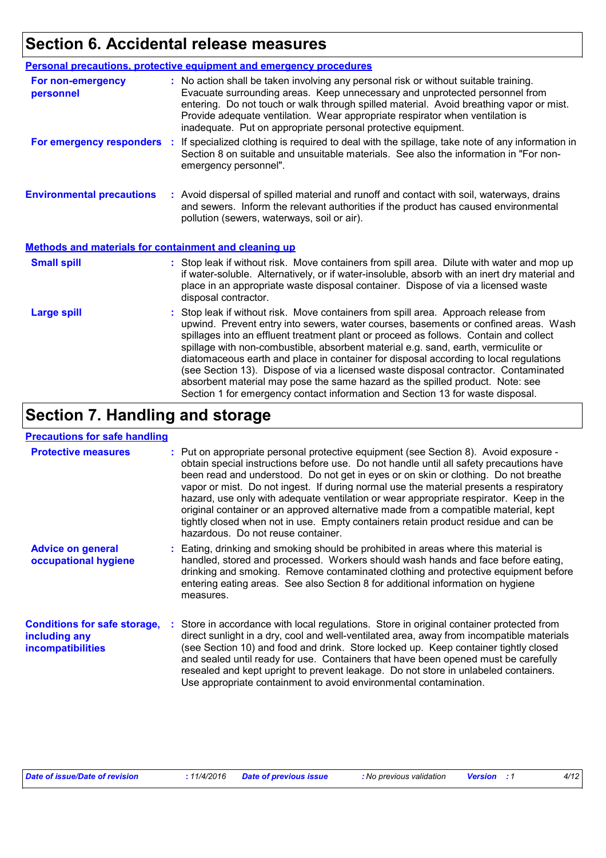# **Section 6. Accidental release measures**

|                                                       | Personal precautions, protective equipment and emergency procedures                                                                                                                                                                                                                                                                                                                                                                                                                                                                                                                                                                                                                                          |  |  |  |
|-------------------------------------------------------|--------------------------------------------------------------------------------------------------------------------------------------------------------------------------------------------------------------------------------------------------------------------------------------------------------------------------------------------------------------------------------------------------------------------------------------------------------------------------------------------------------------------------------------------------------------------------------------------------------------------------------------------------------------------------------------------------------------|--|--|--|
| For non-emergency<br>personnel                        | : No action shall be taken involving any personal risk or without suitable training.<br>Evacuate surrounding areas. Keep unnecessary and unprotected personnel from<br>entering. Do not touch or walk through spilled material. Avoid breathing vapor or mist.<br>Provide adequate ventilation. Wear appropriate respirator when ventilation is<br>inadequate. Put on appropriate personal protective equipment.                                                                                                                                                                                                                                                                                             |  |  |  |
| For emergency responders                              | : If specialized clothing is required to deal with the spillage, take note of any information in<br>Section 8 on suitable and unsuitable materials. See also the information in "For non-<br>emergency personnel".                                                                                                                                                                                                                                                                                                                                                                                                                                                                                           |  |  |  |
| <b>Environmental precautions</b>                      | : Avoid dispersal of spilled material and runoff and contact with soil, waterways, drains<br>and sewers. Inform the relevant authorities if the product has caused environmental<br>pollution (sewers, waterways, soil or air).                                                                                                                                                                                                                                                                                                                                                                                                                                                                              |  |  |  |
| Methods and materials for containment and cleaning up |                                                                                                                                                                                                                                                                                                                                                                                                                                                                                                                                                                                                                                                                                                              |  |  |  |
| <b>Small spill</b>                                    | : Stop leak if without risk. Move containers from spill area. Dilute with water and mop up<br>if water-soluble. Alternatively, or if water-insoluble, absorb with an inert dry material and<br>place in an appropriate waste disposal container. Dispose of via a licensed waste<br>disposal contractor.                                                                                                                                                                                                                                                                                                                                                                                                     |  |  |  |
| <b>Large spill</b>                                    | : Stop leak if without risk. Move containers from spill area. Approach release from<br>upwind. Prevent entry into sewers, water courses, basements or confined areas. Wash<br>spillages into an effluent treatment plant or proceed as follows. Contain and collect<br>spillage with non-combustible, absorbent material e.g. sand, earth, vermiculite or<br>diatomaceous earth and place in container for disposal according to local regulations<br>(see Section 13). Dispose of via a licensed waste disposal contractor. Contaminated<br>absorbent material may pose the same hazard as the spilled product. Note: see<br>Section 1 for emergency contact information and Section 13 for waste disposal. |  |  |  |

# **Section 7. Handling and storage**

#### **Precautions for safe handling**

| <b>Protective measures</b>                                                       | : Put on appropriate personal protective equipment (see Section 8). Avoid exposure -<br>obtain special instructions before use. Do not handle until all safety precautions have<br>been read and understood. Do not get in eyes or on skin or clothing. Do not breathe<br>vapor or mist. Do not ingest. If during normal use the material presents a respiratory<br>hazard, use only with adequate ventilation or wear appropriate respirator. Keep in the<br>original container or an approved alternative made from a compatible material, kept<br>tightly closed when not in use. Empty containers retain product residue and can be<br>hazardous. Do not reuse container. |
|----------------------------------------------------------------------------------|-------------------------------------------------------------------------------------------------------------------------------------------------------------------------------------------------------------------------------------------------------------------------------------------------------------------------------------------------------------------------------------------------------------------------------------------------------------------------------------------------------------------------------------------------------------------------------------------------------------------------------------------------------------------------------|
| <b>Advice on general</b><br>occupational hygiene                                 | Eating, drinking and smoking should be prohibited in areas where this material is<br>handled, stored and processed. Workers should wash hands and face before eating,<br>drinking and smoking. Remove contaminated clothing and protective equipment before<br>entering eating areas. See also Section 8 for additional information on hygiene<br>measures.                                                                                                                                                                                                                                                                                                                   |
| <b>Conditions for safe storage,</b><br>including any<br><b>incompatibilities</b> | Store in accordance with local regulations. Store in original container protected from<br>direct sunlight in a dry, cool and well-ventilated area, away from incompatible materials<br>(see Section 10) and food and drink. Store locked up. Keep container tightly closed<br>and sealed until ready for use. Containers that have been opened must be carefully<br>resealed and kept upright to prevent leakage. Do not store in unlabeled containers.<br>Use appropriate containment to avoid environmental contamination.                                                                                                                                                  |

| <b>Date of issue/Date of revision</b> |  | : 11/4/2016 Date of previous issue | : No previous validation | <b>Example Version</b> : 1 |  |
|---------------------------------------|--|------------------------------------|--------------------------|----------------------------|--|
|---------------------------------------|--|------------------------------------|--------------------------|----------------------------|--|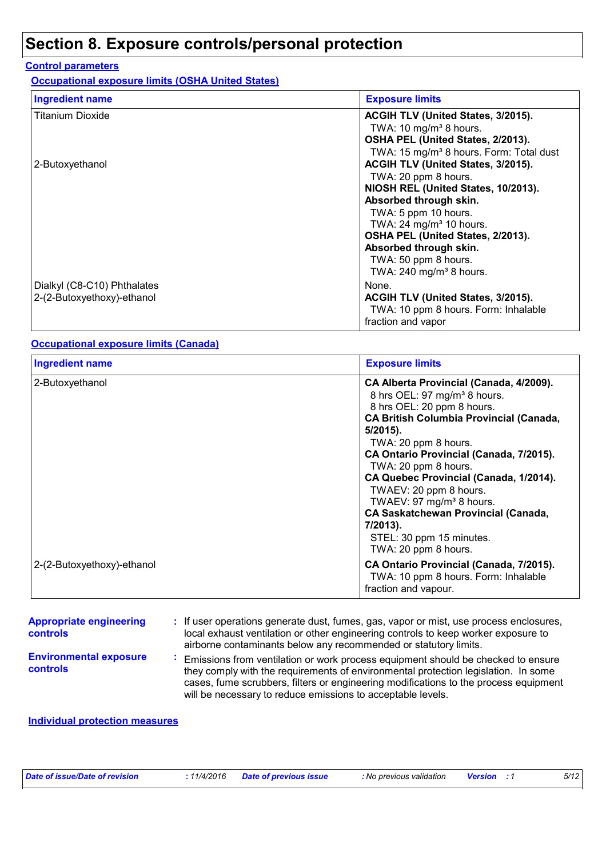# **Section 8. Exposure controls/personal protection**

### **Control parameters**

**Occupational exposure limits (OSHA United States)**

| <b>Ingredient name</b>                                    | <b>Exposure limits</b>                                                                                                                                                                                                                                                                                                                                                           |
|-----------------------------------------------------------|----------------------------------------------------------------------------------------------------------------------------------------------------------------------------------------------------------------------------------------------------------------------------------------------------------------------------------------------------------------------------------|
| <b>Titanium Dioxide</b>                                   | ACGIH TLV (United States, 3/2015).<br>TWA: 10 mg/m <sup>3</sup> 8 hours.<br>OSHA PEL (United States, 2/2013).                                                                                                                                                                                                                                                                    |
| 2-Butoxyethanol                                           | TWA: 15 mg/m <sup>3</sup> 8 hours. Form: Total dust<br>ACGIH TLV (United States, 3/2015).<br>TWA: 20 ppm 8 hours.<br>NIOSH REL (United States, 10/2013).<br>Absorbed through skin.<br>TWA: 5 ppm 10 hours.<br>TWA: $24 \text{ mg/m}^3$ 10 hours.<br>OSHA PEL (United States, 2/2013).<br>Absorbed through skin.<br>TWA: 50 ppm 8 hours.<br>TWA: $240$ mg/m <sup>3</sup> 8 hours. |
| Dialkyl (C8-C10) Phthalates<br>2-(2-Butoxyethoxy)-ethanol | None.<br>ACGIH TLV (United States, 3/2015).<br>TWA: 10 ppm 8 hours. Form: Inhalable<br>fraction and vapor                                                                                                                                                                                                                                                                        |

#### **Occupational exposure limits (Canada)**

| <b>Ingredient name</b>     | <b>Exposure limits</b>                                                                                                                                                                                                                                                                                                                                                                                                                                                                                  |
|----------------------------|---------------------------------------------------------------------------------------------------------------------------------------------------------------------------------------------------------------------------------------------------------------------------------------------------------------------------------------------------------------------------------------------------------------------------------------------------------------------------------------------------------|
| 2-Butoxyethanol            | CA Alberta Provincial (Canada, 4/2009).<br>8 hrs OEL: 97 mg/m <sup>3</sup> 8 hours.<br>8 hrs OEL: 20 ppm 8 hours.<br><b>CA British Columbia Provincial (Canada,</b><br>$5/2015$ ).<br>TWA: 20 ppm 8 hours.<br>CA Ontario Provincial (Canada, 7/2015).<br>TWA: 20 ppm 8 hours.<br>CA Quebec Provincial (Canada, 1/2014).<br>TWAEV: 20 ppm 8 hours.<br>TWAEV: 97 mg/m <sup>3</sup> 8 hours.<br><b>CA Saskatchewan Provincial (Canada,</b><br>7/2013).<br>STEL: 30 ppm 15 minutes.<br>TWA: 20 ppm 8 hours. |
| 2-(2-Butoxyethoxy)-ethanol | CA Ontario Provincial (Canada, 7/2015).<br>TWA: 10 ppm 8 hours. Form: Inhalable<br>fraction and vapour.                                                                                                                                                                                                                                                                                                                                                                                                 |

| <b>Appropriate engineering</b><br><b>controls</b> | : If user operations generate dust, fumes, gas, vapor or mist, use process enclosures,<br>local exhaust ventilation or other engineering controls to keep worker exposure to<br>airborne contaminants below any recommended or statutory limits.                                                                              |
|---------------------------------------------------|-------------------------------------------------------------------------------------------------------------------------------------------------------------------------------------------------------------------------------------------------------------------------------------------------------------------------------|
| <b>Environmental exposure</b><br><b>controls</b>  | Emissions from ventilation or work process equipment should be checked to ensure<br>they comply with the requirements of environmental protection legislation. In some<br>cases, fume scrubbers, filters or engineering modifications to the process equipment<br>will be necessary to reduce emissions to acceptable levels. |

### **Individual protection measures**

| <b>Date of issue/Date of revision</b> |  | : 11/4/2016 Date of previous issue | : No previous validation | <b>Version</b> : 1 | 5/12 |
|---------------------------------------|--|------------------------------------|--------------------------|--------------------|------|
|---------------------------------------|--|------------------------------------|--------------------------|--------------------|------|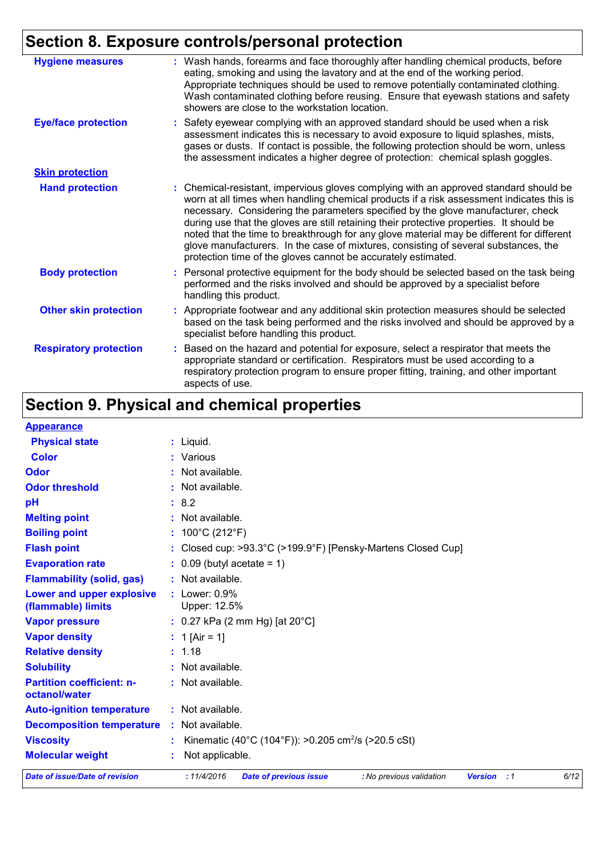# **Section 8. Exposure controls/personal protection**

| <b>Hygiene measures</b>       | : Wash hands, forearms and face thoroughly after handling chemical products, before<br>eating, smoking and using the lavatory and at the end of the working period.<br>Appropriate techniques should be used to remove potentially contaminated clothing.<br>Wash contaminated clothing before reusing. Ensure that eyewash stations and safety<br>showers are close to the workstation location.                                                                                                                                                                                                                      |
|-------------------------------|------------------------------------------------------------------------------------------------------------------------------------------------------------------------------------------------------------------------------------------------------------------------------------------------------------------------------------------------------------------------------------------------------------------------------------------------------------------------------------------------------------------------------------------------------------------------------------------------------------------------|
| <b>Eye/face protection</b>    | : Safety eyewear complying with an approved standard should be used when a risk<br>assessment indicates this is necessary to avoid exposure to liquid splashes, mists,<br>gases or dusts. If contact is possible, the following protection should be worn, unless<br>the assessment indicates a higher degree of protection: chemical splash goggles.                                                                                                                                                                                                                                                                  |
| <b>Skin protection</b>        |                                                                                                                                                                                                                                                                                                                                                                                                                                                                                                                                                                                                                        |
| <b>Hand protection</b>        | : Chemical-resistant, impervious gloves complying with an approved standard should be<br>worn at all times when handling chemical products if a risk assessment indicates this is<br>necessary. Considering the parameters specified by the glove manufacturer, check<br>during use that the gloves are still retaining their protective properties. It should be<br>noted that the time to breakthrough for any glove material may be different for different<br>glove manufacturers. In the case of mixtures, consisting of several substances, the<br>protection time of the gloves cannot be accurately estimated. |
| <b>Body protection</b>        | Personal protective equipment for the body should be selected based on the task being<br>performed and the risks involved and should be approved by a specialist before<br>handling this product.                                                                                                                                                                                                                                                                                                                                                                                                                      |
| <b>Other skin protection</b>  | : Appropriate footwear and any additional skin protection measures should be selected<br>based on the task being performed and the risks involved and should be approved by a<br>specialist before handling this product.                                                                                                                                                                                                                                                                                                                                                                                              |
| <b>Respiratory protection</b> | : Based on the hazard and potential for exposure, select a respirator that meets the<br>appropriate standard or certification. Respirators must be used according to a<br>respiratory protection program to ensure proper fitting, training, and other important<br>aspects of use.                                                                                                                                                                                                                                                                                                                                    |

# **Section 9. Physical and chemical properties**

| <b>Appearance</b>                                      |                                                                                                        |
|--------------------------------------------------------|--------------------------------------------------------------------------------------------------------|
| <b>Physical state</b>                                  | $:$ Liquid.                                                                                            |
| <b>Color</b>                                           | : Various                                                                                              |
| Odor                                                   | : Not available.                                                                                       |
| <b>Odor threshold</b>                                  | $\cdot$ Not available.                                                                                 |
| рH                                                     | : 8.2                                                                                                  |
| <b>Melting point</b>                                   | $:$ Not available.                                                                                     |
| <b>Boiling point</b>                                   | : $100^{\circ}$ C (212 $^{\circ}$ F)                                                                   |
| <b>Flash point</b>                                     | : Closed cup: $>93.3^{\circ}$ C ( $>199.9^{\circ}$ F) [Pensky-Martens Closed Cup]                      |
| <b>Evaporation rate</b>                                | $\therefore$ 0.09 (butyl acetate = 1)                                                                  |
| <b>Flammability (solid, gas)</b>                       | : Not available.                                                                                       |
| <b>Lower and upper explosive</b><br>(flammable) limits | $:$ Lower: $0.9\%$<br>Upper: 12.5%                                                                     |
| <b>Vapor pressure</b>                                  | : $0.27$ kPa (2 mm Hg) [at 20 $^{\circ}$ C]                                                            |
| <b>Vapor density</b>                                   | : 1 [Air = 1]                                                                                          |
| <b>Relative density</b>                                | : 1.18                                                                                                 |
| <b>Solubility</b>                                      | $:$ Not available.                                                                                     |
| <b>Partition coefficient: n-</b><br>octanol/water      | : Not available.                                                                                       |
| <b>Auto-ignition temperature</b>                       | $:$ Not available.                                                                                     |
| <b>Decomposition temperature</b>                       | : Not available.                                                                                       |
| <b>Viscosity</b>                                       | Kinematic (40°C (104°F)): >0.205 cm <sup>2</sup> /s (>20.5 cSt)                                        |
| <b>Molecular weight</b>                                | Not applicable.                                                                                        |
| <b>Date of issue/Date of revision</b>                  | : 11/4/2016<br><b>Date of previous issue</b><br>: No previous validation<br><b>Version</b> : 1<br>6/12 |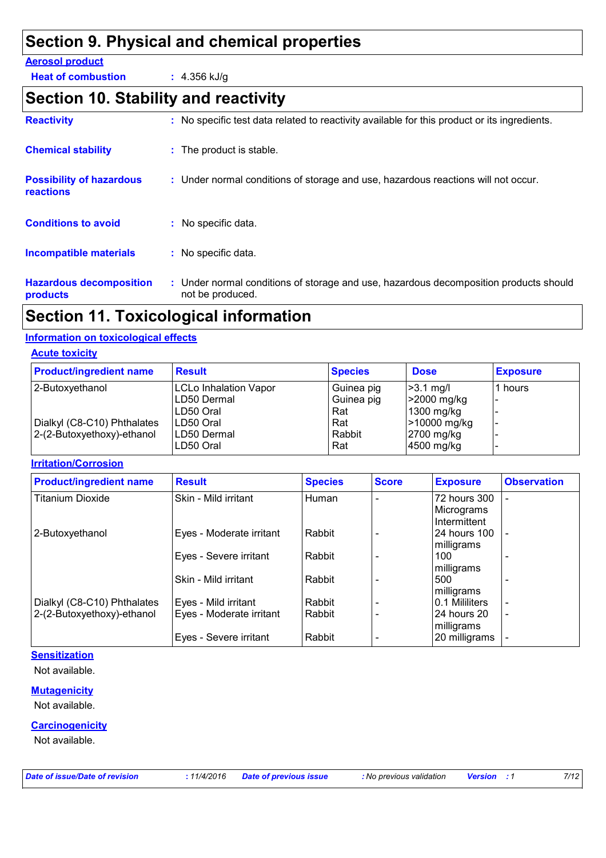# **Section 9. Physical and chemical properties**

#### **Aerosol product**

**Heat of combustion :** 4.356 kJ/g

# **Section 10. Stability and reactivity**

| <b>Reactivity</b>                                   | : No specific test data related to reactivity available for this product or its ingredients.              |  |
|-----------------------------------------------------|-----------------------------------------------------------------------------------------------------------|--|
| <b>Chemical stability</b>                           | : The product is stable.                                                                                  |  |
| <b>Possibility of hazardous</b><br><b>reactions</b> | : Under normal conditions of storage and use, hazardous reactions will not occur.                         |  |
| <b>Conditions to avoid</b>                          | : No specific data.                                                                                       |  |
| <b>Incompatible materials</b>                       | : No specific data.                                                                                       |  |
| <b>Hazardous decomposition</b><br><b>products</b>   | : Under normal conditions of storage and use, hazardous decomposition products should<br>not be produced. |  |

# **Section 11. Toxicological information**

### **Information on toxicological effects**

#### **Acute toxicity**

| <b>Product/ingredient name</b> | <b>Result</b>                | <b>Species</b> | <b>Dose</b>  | <b>Exposure</b> |
|--------------------------------|------------------------------|----------------|--------------|-----------------|
| 2-Butoxyethanol                | <b>LCLo Inhalation Vapor</b> | Guinea pig     | $ >3.1$ mg/l | 1 hours         |
|                                | ILD50 Dermal                 | Guinea pig     | >2000 mg/kg  |                 |
|                                | ILD50 Oral                   | Rat            | 1300 mg/kg   |                 |
| Dialkyl (C8-C10) Phthalates    | LD50 Oral                    | Rat            | >10000 mg/kg | -               |
| 2-(2-Butoxyethoxy)-ethanol     | ILD50 Dermal                 | Rabbit         | 2700 mg/kg   |                 |
|                                | LD50 Oral                    | Rat            | 4500 mg/kg   |                 |

#### **Irritation/Corrosion**

| <b>Product/ingredient name</b> | <b>Result</b>            | <b>Species</b> | <b>Score</b> | <b>Exposure</b>     | <b>Observation</b>       |
|--------------------------------|--------------------------|----------------|--------------|---------------------|--------------------------|
| <b>Titanium Dioxide</b>        | Skin - Mild irritant     | Human          |              | 72 hours 300        |                          |
|                                |                          |                |              | Micrograms          |                          |
|                                |                          |                |              | Intermittent        |                          |
| 2-Butoxyethanol                | Eyes - Moderate irritant | Rabbit         |              | <b>24 hours 100</b> |                          |
|                                |                          |                |              | milligrams          |                          |
|                                | Eyes - Severe irritant   | Rabbit         |              | 100                 |                          |
|                                |                          |                |              | milligrams          |                          |
|                                | Skin - Mild irritant     | Rabbit         |              | 500                 |                          |
|                                |                          |                |              | milligrams          |                          |
| Dialkyl (C8-C10) Phthalates    | Eyes - Mild irritant     | Rabbit         |              | 0.1 Mililiters      | ۰                        |
| 2-(2-Butoxyethoxy)-ethanol     | Eyes - Moderate irritant | Rabbit         |              | 24 hours 20         | $\overline{\phantom{a}}$ |
|                                |                          |                |              | milligrams          |                          |
|                                | Eyes - Severe irritant   | Rabbit         |              | 20 milligrams       |                          |

#### **Sensitization**

Not available.

#### **Mutagenicity**

Not available.

#### **Carcinogenicity**

Not available.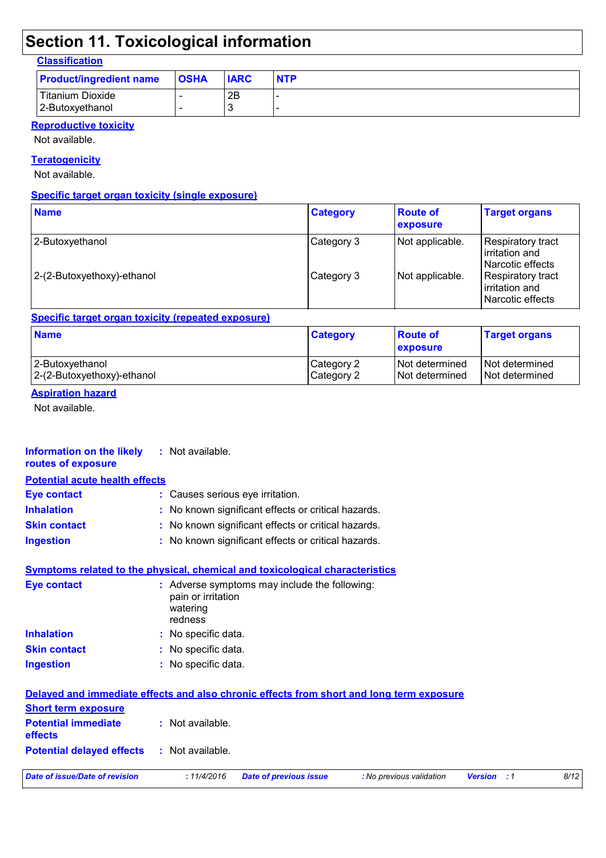# **Section 11. Toxicological information**

### **Classification**

| <b>Product/ingredient name</b> | <b>OSHA</b> | <b>IARC</b> | <b>NTP</b> |
|--------------------------------|-------------|-------------|------------|
| Titanium Dioxide               |             | 2B          |            |
| 2-Butoxyethanol                |             |             |            |

### **Reproductive toxicity**

Not available.

**Teratogenicity**

Not available.

#### **Specific target organ toxicity (single exposure)**

| <b>Name</b>                | <b>Category</b> | <b>Route of</b><br>exposure | <b>Target organs</b>                                       |
|----------------------------|-----------------|-----------------------------|------------------------------------------------------------|
| 2-Butoxyethanol            | Category 3      | Not applicable.             | Respiratory tract<br>lirritation and<br>l Narcotic effects |
| 2-(2-Butoxyethoxy)-ethanol | Category 3      | Not applicable.             | Respiratory tract<br>irritation and<br>l Narcotic effects  |

#### **Specific target organ toxicity (repeated exposure)**

| <b>Name</b>                | <b>Category</b> | ∣Route of<br><b>exposure</b> | <b>Target organs</b> |
|----------------------------|-----------------|------------------------------|----------------------|
| 2-Butoxyethanol            | Category 2      | INot determined              | I Not determined     |
| 2-(2-Butoxyethoxy)-ethanol | Category 2      | Not determined               | Not determined       |

### **Aspiration hazard**

Not available.

| Information on the likely<br>routes of exposure | : Not available.                                                                    |
|-------------------------------------------------|-------------------------------------------------------------------------------------|
| <b>Potential acute health effects</b>           |                                                                                     |
| <b>Eye contact</b>                              | : Causes serious eye irritation.                                                    |
| <b>Inhalation</b>                               | : No known significant effects or critical hazards.                                 |
| <b>Skin contact</b>                             | : No known significant effects or critical hazards.                                 |
| <b>Ingestion</b>                                | : No known significant effects or critical hazards.                                 |
|                                                 | <u>Symptoms related to the physical, chemical and toxicological characteristics</u> |
| Eye contact                                     | : Adverse symptoms may include the following:<br>pain or irritation                 |

|                     | watering<br>redness |
|---------------------|---------------------|
| <b>Inhalation</b>   | : No specific data. |
| <b>Skin contact</b> | : No specific data. |
| <b>Ingestion</b>    | : No specific data. |

| Dete of incur (Dete of verision                                                          | $.44/4/2046$ Deta of provision issue | . Na neovinuo volidation | $\frac{1}{2}$ |
|------------------------------------------------------------------------------------------|--------------------------------------|--------------------------|---------------|
| <b>Potential delayed effects : Not available.</b>                                        |                                      |                          |               |
| <b>Potential immediate : Not available.</b><br><b>effects</b>                            |                                      |                          |               |
| <b>Short term exposure</b>                                                               |                                      |                          |               |
| Delayed and immediate effects and also chronic effects from short and long term exposure |                                      |                          |               |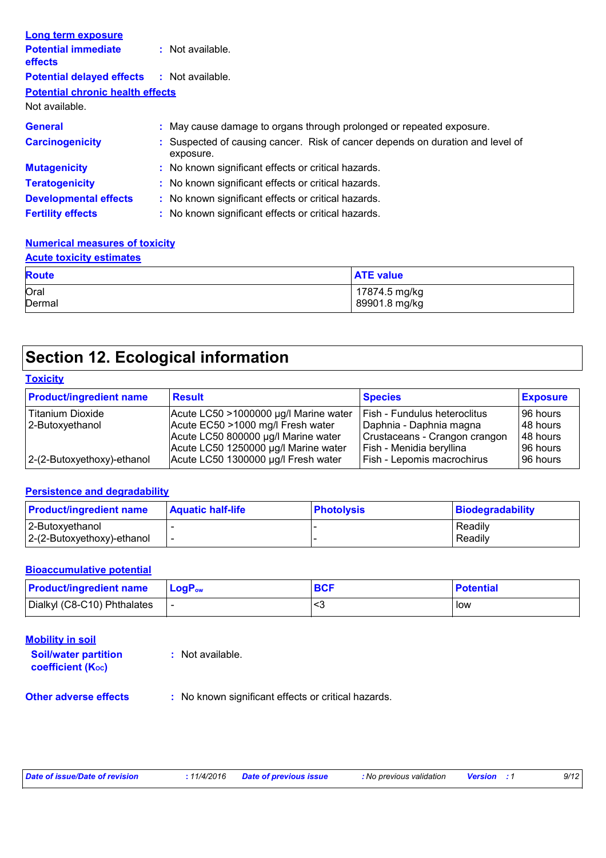| <b>Long term exposure</b>                         |                                                                                             |
|---------------------------------------------------|---------------------------------------------------------------------------------------------|
| <b>Potential immediate</b><br><b>effects</b>      | $:$ Not available.                                                                          |
| <b>Potential delayed effects : Not available.</b> |                                                                                             |
| <b>Potential chronic health effects</b>           |                                                                                             |
| Not available.                                    |                                                                                             |
| <b>General</b>                                    | : May cause damage to organs through prolonged or repeated exposure.                        |
| <b>Carcinogenicity</b>                            | : Suspected of causing cancer. Risk of cancer depends on duration and level of<br>exposure. |
| <b>Mutagenicity</b>                               | : No known significant effects or critical hazards.                                         |
| <b>Teratogenicity</b>                             | : No known significant effects or critical hazards.                                         |
| <b>Developmental effects</b>                      | : No known significant effects or critical hazards.                                         |
| <b>Fertility effects</b>                          | : No known significant effects or critical hazards.                                         |

#### **Numerical measures of toxicity**

#### **Acute toxicity estimates**

| <b>Route</b> | <b>ATE value</b> |
|--------------|------------------|
| Oral         | 17874.5 mg/kg    |
| Dermal       | 89901.8 mg/kg    |

# **Section 12. Ecological information**

### **Toxicity**

| <b>Product/ingredient name</b> | <b>Result</b>                         | <b>Species</b>                      | <b>Exposure</b> |
|--------------------------------|---------------------------------------|-------------------------------------|-----------------|
| Titanium Dioxide               | Acute LC50 >1000000 µg/l Marine water | <b>Fish - Fundulus heteroclitus</b> | 96 hours        |
| 2-Butoxyethanol                | Acute EC50 >1000 mg/l Fresh water     | Daphnia - Daphnia magna             | 48 hours        |
|                                | Acute LC50 800000 µg/l Marine water   | Crustaceans - Crangon crangon       | 48 hours        |
|                                | Acute LC50 1250000 µg/l Marine water  | Fish - Menidia beryllina            | 96 hours        |
| 2-(2-Butoxyethoxy)-ethanol     | Acute LC50 1300000 µg/l Fresh water   | Fish - Lepomis macrochirus          | 96 hours        |

#### **Persistence and degradability**

| <b>Product/ingredient name</b>                | <b>Aquatic half-life</b> | <b>Photolysis</b> | Biodegradability   |
|-----------------------------------------------|--------------------------|-------------------|--------------------|
| 2-Butoxyethanol<br>2-(2-Butoxyethoxy)-ethanol |                          |                   | Readily<br>Readily |

#### **Bioaccumulative potential**

| <b>Product/ingredient name</b> | $LogPow$ | <b>BCF</b> | <b>Potential</b> |
|--------------------------------|----------|------------|------------------|
| Dialkyl (C8-C10) Phthalates    |          |            | low              |

| <b>Soil/water partition</b> | : Not available. |
|-----------------------------|------------------|
| <b>coefficient (Koc)</b>    |                  |

**Other adverse effects** : No known significant effects or critical hazards.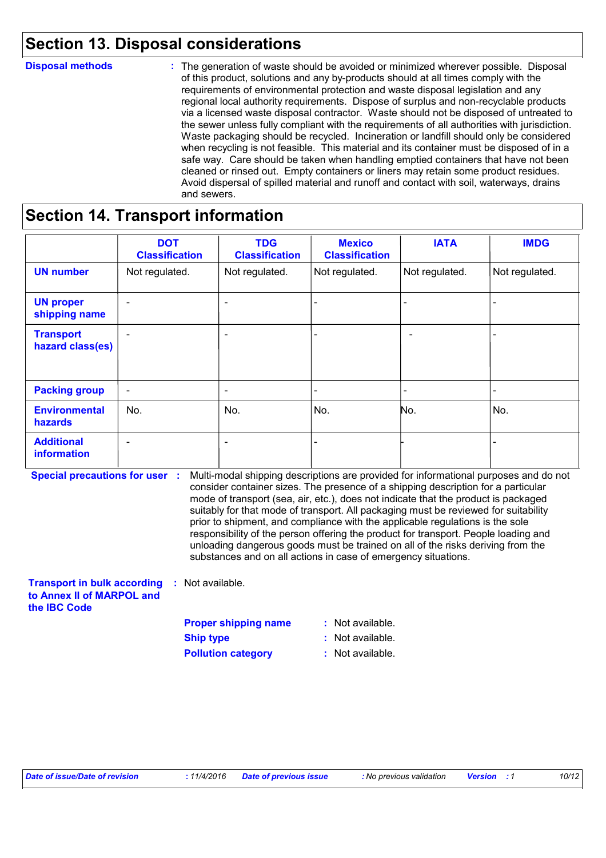### **Section 13. Disposal considerations**

| <b>Disposal methods</b> | : The generation of waste should be avoided or minimized wherever possible. Disposal<br>of this product, solutions and any by-products should at all times comply with the<br>requirements of environmental protection and waste disposal legislation and any<br>regional local authority requirements. Dispose of surplus and non-recyclable products<br>via a licensed waste disposal contractor. Waste should not be disposed of untreated to<br>the sewer unless fully compliant with the requirements of all authorities with jurisdiction.<br>Waste packaging should be recycled. Incineration or landfill should only be considered<br>when recycling is not feasible. This material and its container must be disposed of in a<br>safe way. Care should be taken when handling emptied containers that have not been<br>cleaned or rinsed out. Empty containers or liners may retain some product residues.<br>Avoid dispersal of spilled material and runoff and contact with soil, waterways, drains<br>and sewers. |
|-------------------------|-------------------------------------------------------------------------------------------------------------------------------------------------------------------------------------------------------------------------------------------------------------------------------------------------------------------------------------------------------------------------------------------------------------------------------------------------------------------------------------------------------------------------------------------------------------------------------------------------------------------------------------------------------------------------------------------------------------------------------------------------------------------------------------------------------------------------------------------------------------------------------------------------------------------------------------------------------------------------------------------------------------------------------|
|-------------------------|-------------------------------------------------------------------------------------------------------------------------------------------------------------------------------------------------------------------------------------------------------------------------------------------------------------------------------------------------------------------------------------------------------------------------------------------------------------------------------------------------------------------------------------------------------------------------------------------------------------------------------------------------------------------------------------------------------------------------------------------------------------------------------------------------------------------------------------------------------------------------------------------------------------------------------------------------------------------------------------------------------------------------------|

### **Section 14. Transport information**

|                                      | <b>DOT</b><br><b>Classification</b> | <b>TDG</b><br><b>Classification</b> | <b>Mexico</b><br><b>Classification</b> | <b>IATA</b>    | <b>IMDG</b>              |
|--------------------------------------|-------------------------------------|-------------------------------------|----------------------------------------|----------------|--------------------------|
| <b>UN number</b>                     | Not regulated.                      | Not regulated.                      | Not regulated.                         | Not regulated. | Not regulated.           |
| <b>UN proper</b><br>shipping name    | $\overline{\phantom{0}}$            | $\overline{\phantom{a}}$            |                                        |                |                          |
| <b>Transport</b><br>hazard class(es) | $\overline{\phantom{0}}$            | $\overline{\phantom{a}}$            |                                        |                |                          |
| <b>Packing group</b>                 | $\overline{\phantom{a}}$            | $\overline{\phantom{a}}$            | $\overline{\phantom{0}}$               |                | $\overline{\phantom{0}}$ |
| <b>Environmental</b><br>hazards      | No.                                 | No.                                 | No.                                    | No.            | No.                      |
| <b>Additional</b><br>information     | $\overline{\phantom{0}}$            | $\overline{\phantom{a}}$            |                                        |                |                          |

**Special precautions for user** : Multi-modal shipping descriptions are provided for informational purposes and do not **:** Not available. consider container sizes. The presence of a shipping description for a particular mode of transport (sea, air, etc.), does not indicate that the product is packaged suitably for that mode of transport. All packaging must be reviewed for suitability prior to shipment, and compliance with the applicable regulations is the sole responsibility of the person offering the product for transport. People loading and unloading dangerous goods must be trained on all of the risks deriving from the substances and on all actions in case of emergency situations.

**Transport in bulk according to Annex II of MARPOL and the IBC Code**

**Proper shipping name : Ship type :** Not available.

**Pollution category :** Not available.

: Not available.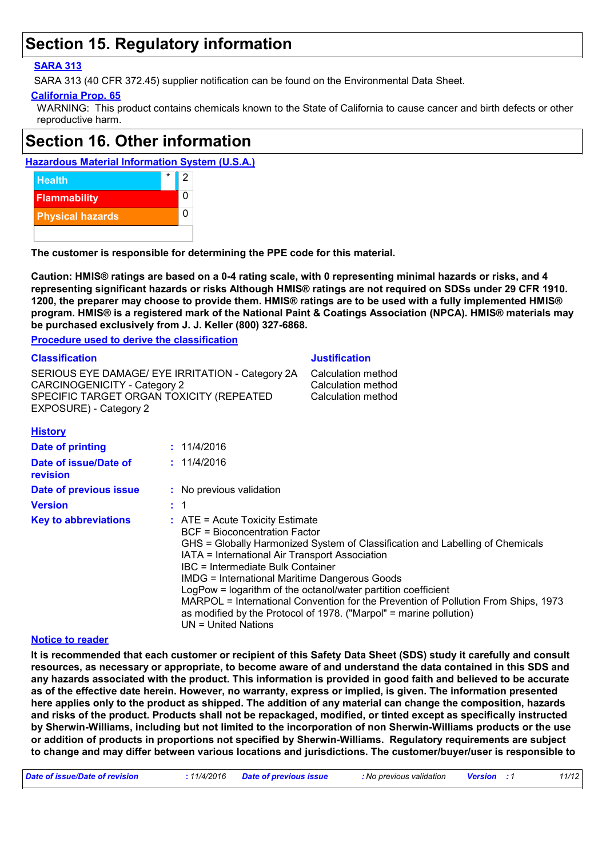### **Section 15. Regulatory information**

### **SARA 313**

SARA 313 (40 CFR 372.45) supplier notification can be found on the Environmental Data Sheet.

### **California Prop. 65**

WARNING: This product contains chemicals known to the State of California to cause cancer and birth defects or other reproductive harm.

### **Section 16. Other information**

### **Hazardous Material Information System (U.S.A.)**



**The customer is responsible for determining the PPE code for this material.**

**Caution: HMIS® ratings are based on a 0-4 rating scale, with 0 representing minimal hazards or risks, and 4 representing significant hazards or risks Although HMIS® ratings are not required on SDSs under 29 CFR 1910. 1200, the preparer may choose to provide them. HMIS® ratings are to be used with a fully implemented HMIS® program. HMIS® is a registered mark of the National Paint & Coatings Association (NPCA). HMIS® materials may be purchased exclusively from J. J. Keller (800) 327-6868.**

**Procedure used to derive the classification**

| <b>Classification</b>                                                                                                                                  |                                                                                                                                                                                                                                                                 | <b>Justification</b>                                                                                                                                                                                                                                                                                       |
|--------------------------------------------------------------------------------------------------------------------------------------------------------|-----------------------------------------------------------------------------------------------------------------------------------------------------------------------------------------------------------------------------------------------------------------|------------------------------------------------------------------------------------------------------------------------------------------------------------------------------------------------------------------------------------------------------------------------------------------------------------|
| SERIOUS EYE DAMAGE/ EYE IRRITATION - Category 2A<br>CARCINOGENICITY - Category 2<br>SPECIFIC TARGET ORGAN TOXICITY (REPEATED<br>EXPOSURE) - Category 2 |                                                                                                                                                                                                                                                                 | Calculation method<br>Calculation method<br>Calculation method                                                                                                                                                                                                                                             |
| <b>History</b>                                                                                                                                         |                                                                                                                                                                                                                                                                 |                                                                                                                                                                                                                                                                                                            |
| <b>Date of printing</b>                                                                                                                                | : 11/4/2016                                                                                                                                                                                                                                                     |                                                                                                                                                                                                                                                                                                            |
| Date of issue/Date of<br><b>revision</b>                                                                                                               | : 11/4/2016                                                                                                                                                                                                                                                     |                                                                                                                                                                                                                                                                                                            |
| Date of previous issue                                                                                                                                 | : No previous validation                                                                                                                                                                                                                                        |                                                                                                                                                                                                                                                                                                            |
| <b>Version</b>                                                                                                                                         | $\therefore$ 1                                                                                                                                                                                                                                                  |                                                                                                                                                                                                                                                                                                            |
| <b>Key to abbreviations</b>                                                                                                                            | $\therefore$ ATE = Acute Toxicity Estimate<br><b>BCF</b> = Bioconcentration Factor<br>IATA = International Air Transport Association<br><b>IBC</b> = Intermediate Bulk Container<br><b>IMDG = International Maritime Dangerous Goods</b><br>UN = United Nations | GHS = Globally Harmonized System of Classification and Labelling of Chemicals<br>LogPow = logarithm of the octanol/water partition coefficient<br>MARPOL = International Convention for the Prevention of Pollution From Ships, 1973<br>as modified by the Protocol of 1978. ("Marpol" = marine pollution) |

#### **Notice to reader**

**It is recommended that each customer or recipient of this Safety Data Sheet (SDS) study it carefully and consult resources, as necessary or appropriate, to become aware of and understand the data contained in this SDS and any hazards associated with the product. This information is provided in good faith and believed to be accurate as of the effective date herein. However, no warranty, express or implied, is given. The information presented here applies only to the product as shipped. The addition of any material can change the composition, hazards and risks of the product. Products shall not be repackaged, modified, or tinted except as specifically instructed by Sherwin-Williams, including but not limited to the incorporation of non Sherwin-Williams products or the use or addition of products in proportions not specified by Sherwin-Williams. Regulatory requirements are subject to change and may differ between various locations and jurisdictions. The customer/buyer/user is responsible to**